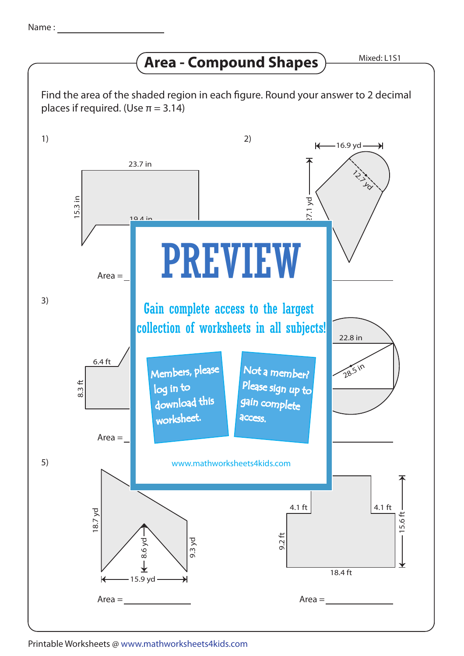## **Area - Compound Shapes**

Mixed: L1S1





Printable Worksheets @ www.mathworksheets4kids.com